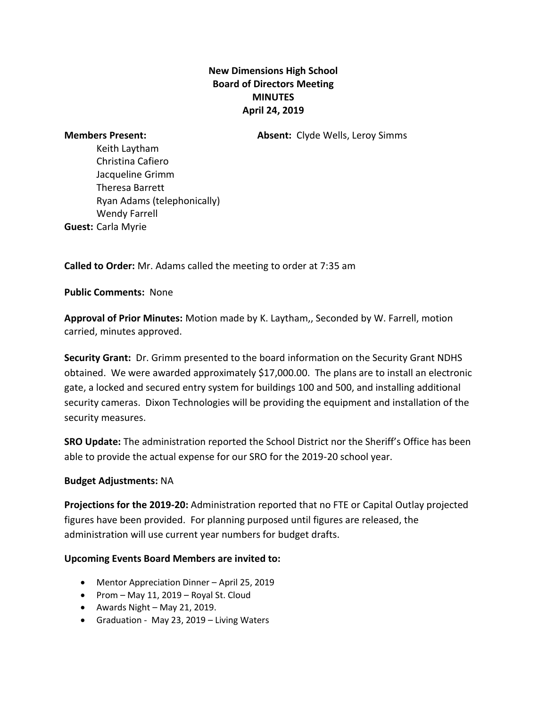## **New Dimensions High School Board of Directors Meeting MINUTES April 24, 2019**

**Members Present: Absent:** Clyde Wells, Leroy Simms

Keith Laytham Christina Cafiero Jacqueline Grimm Theresa Barrett Ryan Adams (telephonically) Wendy Farrell **Guest:** Carla Myrie

**Called to Order:** Mr. Adams called the meeting to order at 7:35 am

**Public Comments:** None

**Approval of Prior Minutes:** Motion made by K. Laytham,, Seconded by W. Farrell, motion carried, minutes approved.

**Security Grant:** Dr. Grimm presented to the board information on the Security Grant NDHS obtained. We were awarded approximately \$17,000.00. The plans are to install an electronic gate, a locked and secured entry system for buildings 100 and 500, and installing additional security cameras. Dixon Technologies will be providing the equipment and installation of the security measures.

**SRO Update:** The administration reported the School District nor the Sheriff's Office has been able to provide the actual expense for our SRO for the 2019-20 school year.

## **Budget Adjustments:** NA

**Projections for the 2019-20:** Administration reported that no FTE or Capital Outlay projected figures have been provided. For planning purposed until figures are released, the administration will use current year numbers for budget drafts.

## **Upcoming Events Board Members are invited to:**

- Mentor Appreciation Dinner April 25, 2019
- Prom May 11, 2019 Royal St. Cloud
- Awards Night May 21, 2019.
- Graduation -May 23, 2019 Living Waters